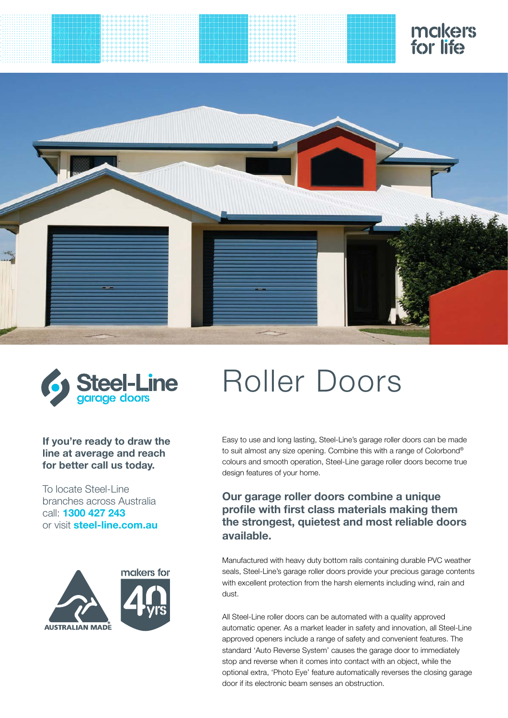



### **If you're ready to draw the line at average and reach for better call us today.**

To locate Steel-Line branches across Australia call: **1300 427 243** or visit **steel-line.com.au**



# Roller Doors

Easy to use and long lasting, [Steel-Line's garage roller doors](http://www.steel-line.com.au/residential-garage-doors/garage-and-shed-roller-doors) can be made to suit almost any size opening. Combine this with a range of Colorbond® colours and smooth operation, [Steel-Line garage roller doors](http://www.steel-line.com.au/residential-garage-doors/garage-and-shed-roller-doors) become true design features of your home.

### **Our [garage roller doors](http://www.steel-line.com.au/residential-garage-doors/garage-and-shed-roller-doors) combine a unique profile with first class materials making them the strongest, quietest and most reliable doors available.**

Manufactured with heavy duty bottom rails containing durable PVC weather seals, [Steel-Line's garage roller doors](http://www.steel-line.com.au/residential-garage-doors/garage-and-shed-roller-doors) provide your precious garage contents with excellent protection from the harsh elements including wind, rain and dust.

All [Steel-Line roller doors](http://www.steel-line.com.au/residential-garage-doors/garage-and-shed-roller-doors) can be automated with a quality approved [automatic ope](http://www.bossoperators.com.au/garage-roller-door-operators.html)ner. As a market leader in safety and innovation, all Steel-Line approved [open](http://www.bossoperators.com.au/garage-roller-door-operators.html)ers include a range of safety and convenient features. The standard 'Auto Reverse System' causes the garage door to immediately stop and reverse when it comes into contact with an object, while the optional extra, 'Photo Eye' feature automatically reverses the closing garage door if its electronic beam senses an obstruction.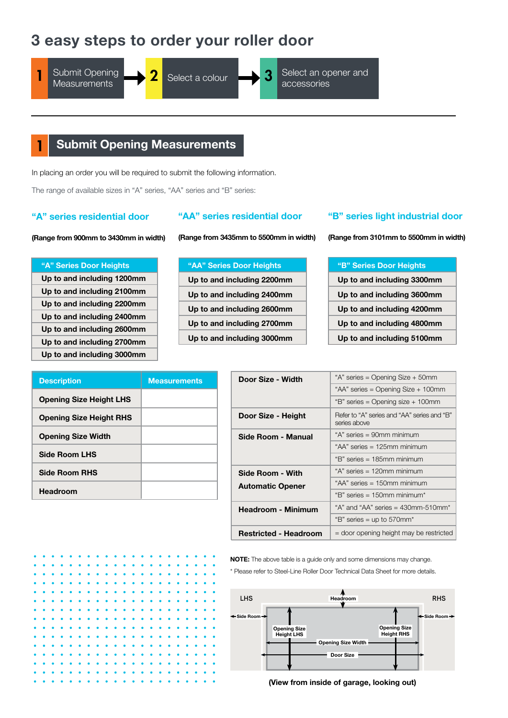# **3 easy steps to order your roller door**

Submit Opening **Measurements 1** Submit Opening **2** Select a colour **1 3** Select an of





Select a colour **Select** an opener and accessories

# **Submit Opening Measurements**

In placing an order you will be required to submit the following information.

The range of available sizes in "A" series, "AA" series and "B" series:

### **"A" series residential door**

### **"AA" series residential door**

**(Range from 900mm to 3430mm in width)**

**"A" Series Door Heights Up to and including 1200mm Up to and including 2100mm Up to and including 2200mm Up to and including 2400mm Up to and including 2600mm Up to and including 2700mm Up to and including 3000mm** **(Range from 3435mm to 5500mm in width)**

| "AA" Series Door Heights   |
|----------------------------|
| Up to and including 2200mm |
| Up to and including 2400mm |
| Up to and including 2600mm |
| Up to and including 2700mm |
| Up to and including 3000mm |

### **"B" series light industrial door**

**(Range from 3101mm to 5500mm in width)**

| "B" Series Door Heights    |
|----------------------------|
| Up to and including 3300mm |
| Up to and including 3600mm |
| Up to and including 4200mm |
| Up to and including 4800mm |
| Up to and including 5100mm |

| <b>Description</b>             | <b>Measurements</b> |
|--------------------------------|---------------------|
| <b>Opening Size Height LHS</b> |                     |
| <b>Opening Size Height RHS</b> |                     |
| <b>Opening Size Width</b>      |                     |
| <b>Side Room LHS</b>           |                     |
| <b>Side Room RHS</b>           |                     |
| <b>Headroom</b>                |                     |

| Door Size - Width            | "A" series = Opening Size + 50mm                            |  |  |  |  |  |  |
|------------------------------|-------------------------------------------------------------|--|--|--|--|--|--|
|                              | "AA" series = Opening Size + 100mm                          |  |  |  |  |  |  |
|                              | "B" series = Opening size + 100mm                           |  |  |  |  |  |  |
| Door Size - Height           | Refer to "A" series and "AA" series and "B"<br>series above |  |  |  |  |  |  |
| Side Room - Manual           | "A" series = 90mm minimum                                   |  |  |  |  |  |  |
|                              | "AA" series $= 125$ mm minimum                              |  |  |  |  |  |  |
|                              | "B" series = 185mm minimum                                  |  |  |  |  |  |  |
| Side Room - With             | "A" series = 120mm minimum                                  |  |  |  |  |  |  |
| <b>Automatic Opener</b>      | "AA" series = 150mm minimum                                 |  |  |  |  |  |  |
|                              | "B" series = $150$ mm minimum*                              |  |  |  |  |  |  |
| <b>Headroom - Minimum</b>    | "A" and "AA" series = $430$ mm-510mm*                       |  |  |  |  |  |  |
|                              | "B" series = up to 570mm*                                   |  |  |  |  |  |  |
| <b>Restricted - Headroom</b> | = door opening height may be restricted                     |  |  |  |  |  |  |

**NOTE:** The above table is a guide only and some dimensions may change.

\* Please refer to Steel-Line Roller Door Technical Data Sheet for more details.



**(View from inside of garage, looking out)**

|           |                     |                     |           |           | .                   |           |                                                                                   |           |           |           |           |                     |           |                               |  |  |
|-----------|---------------------|---------------------|-----------|-----------|---------------------|-----------|-----------------------------------------------------------------------------------|-----------|-----------|-----------|-----------|---------------------|-----------|-------------------------------|--|--|
| $\bullet$ | $\bullet$           | $\bullet$           |           |           | .                   |           |                                                                                   |           |           |           |           |                     |           |                               |  |  |
| $\bullet$ | ۰                   |                     | ۰         | $\bullet$ | $\bullet$ $\bullet$ | $\bullet$ | $\begin{array}{cccccccccccccc} \bullet & \bullet & \bullet & \bullet \end{array}$ | $\bullet$ | $\bullet$ | $\bullet$ | $\bullet$ | $\bullet$           | $\bullet$ | $\bullet$ $\bullet$ $\bullet$ |  |  |
| $\bullet$ |                     | $\bullet$ $\bullet$ |           |           | .                   |           |                                                                                   |           |           |           |           |                     |           |                               |  |  |
| $\bullet$ |                     | $\bullet$ $\bullet$ |           |           | .                   |           |                                                                                   |           |           |           |           |                     |           |                               |  |  |
| ٠         | $\bullet$ $\bullet$ |                     |           |           | .                   |           |                                                                                   |           |           |           |           | $\bullet$           |           | .                             |  |  |
| $\bullet$ |                     |                     |           |           | .                   |           |                                                                                   |           |           |           |           |                     |           |                               |  |  |
| $\bullet$ |                     |                     |           |           | .                   |           |                                                                                   |           |           |           |           |                     |           |                               |  |  |
| $\bullet$ |                     |                     |           |           | .                   |           |                                                                                   |           |           |           |           |                     |           |                               |  |  |
| $\bullet$ |                     |                     |           |           | .                   |           |                                                                                   |           |           |           |           |                     |           |                               |  |  |
| $\bullet$ |                     |                     |           |           | .                   |           |                                                                                   |           |           |           |           |                     |           |                               |  |  |
| $\bullet$ |                     | $\bullet$ $\bullet$ |           |           | .                   |           |                                                                                   |           |           |           |           | $\bullet$           |           | .                             |  |  |
| ۰         |                     | $\cdots$            |           |           | .                   |           |                                                                                   |           |           |           | $\bullet$ | $\bullet$ $\bullet$ |           | .                             |  |  |
| $\bullet$ | $\bullet$           |                     | $\bullet$ |           |                     |           |                                                                                   |           | $\bullet$ |           |           |                     |           |                               |  |  |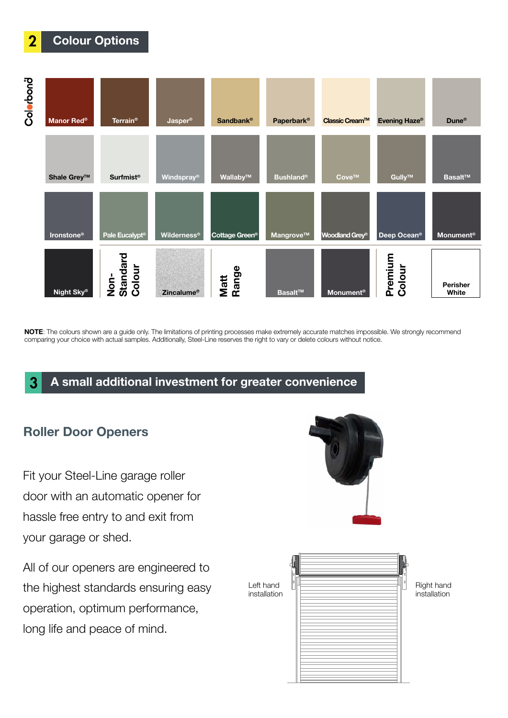

**NOTE**: The colours shown are a guide only. The limitations of printing processes make extremely accurate matches impossible. We strongly recommend comparing your choice with actual samples. Additionally, Steel-Line reserves the right to vary or delete colours without notice.

# 3 **A small additional investment for greater convenience**

# **Roller Door Openers**

2 **Colour Options**

Fit your [Steel-Line garage roller](http://www.steel-line.com.au/residential-garage-doors/garage-and-shed-roller-doors)  [door](http://www.steel-line.com.au/residential-garage-doors/garage-and-shed-roller-doors) with an automatic opener for hassle free entry to and exit from your garage or shed.

All of our [openers](http://www.bossoperators.com.au) are engineered to the highest standards ensuring easy operation, optimum performance, long life and peace of mind.

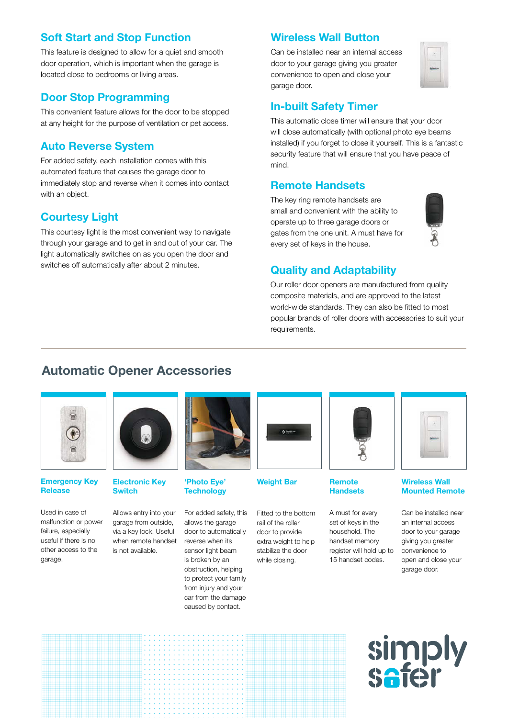# **Soft Start and Stop Function**

This feature is designed to allow for a quiet and smooth door operation, which is important when the garage is located close to bedrooms or living areas.

# **Door Stop Programming**

This convenient feature allows for the door to be stopped at any height for the purpose of ventilation or pet access.

### **Auto Reverse System**

For added safety, each installation comes with this automated feature that causes the garage door to immediately stop and reverse when it comes into contact with an object.

# **Courtesy Light**

This courtesy light is the most convenient way to navigate through your garage and to get in and out of your car. The light automatically switches on as you open the door and switches off automatically after about 2 minutes.<br> **Quality and Adaptability** 

### **Wireless Wall Button**

Can be installed near an internal access door to your garage giving you greater convenience to open and close your garage door.



### **In-built Safety Timer**

This automatic close timer will ensure that your door will close automatically (with optional photo eye beams installed) if you forget to close it yourself. This is a fantastic security feature that will ensure that you have peace of mind.

### **Remote Handsets**

The key ring remote handsets are small and convenient with the ability to operate up to three garage doors or gates from the one unit. A must have for every set of keys in the house.



Our roller door openers are manufactured from quality composite materials, and are approved to the latest world-wide standards. They can also be fitted to most popular brands of roller doors with accessories to suit your requirements.

# **Automatic Opener [Ac](http://www.bossoperators.com.au/accessories.html)cessories**



### **Emergency Key Release**

Used in case of malfunction or power failure, especially useful if there is no other access to the garage.



**Electronic Key Switch** 

Allows entry into your garage from outside, via a key lock. Useful when remote handset is not available.



**'Photo Eye' Weight Bar Technology**

For added safety, this allows the garage door to automatically reverse when its sensor light beam is broken by an obstruction, helping to protect your family from injury and your car from the damage caused by contact.



Fitted to the bottom rail of the roller door to provide extra weight to help stabilize the door while closing.



### **Remote Handsets**

A must for every set of keys in the household. The handset memory register will hold up to 15 handset codes.



### **Wireless Wall Mounted Remote**

Can be installed near an internal access door to your garage giving you greater convenience to open and close your garage door.

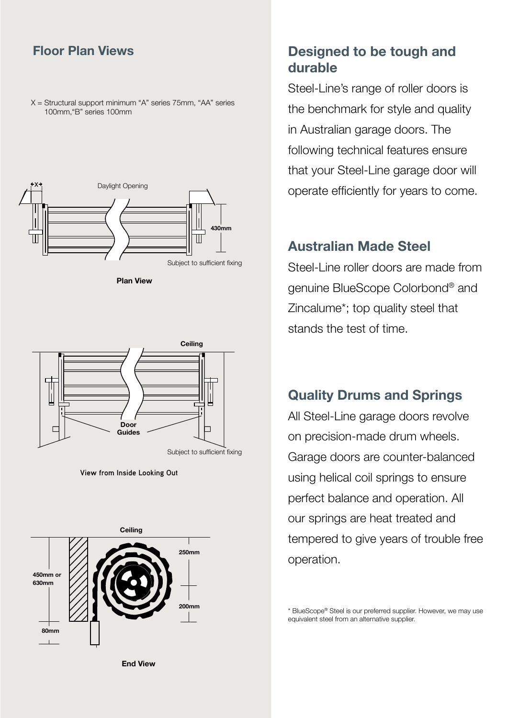$X =$  Structural support minimum "A" series 75mm, "AA" series 100mm,"B" series 100mm



**Plan View**



**View from Inside Looking Out**



**Floor Plan Views Designed to be tough and durable**

> [Steel-Line's range of roller doors](http://www.steel-line.com.au/residential-garage-doors/garage-and-shed-roller-doors) is the benchmark for style and quality in Australian garage doors. The following technical features ensure that your [Steel-Line garage door](http://www.steel-line.com.au) will operate efficiently for years to come.

# **Australian Made Steel**

Steel-Line roller doors are made from genuine [BlueScope](http://www.bluescopesteel.com.au/) [Colorbond®](http://www.colorbond.com/) and [Zincalume\\*](http://www.zincalume.com.au/); top quality steel that stands the test of time.

# **Quality Drums and Springs**

All [Steel-Line garage doors](http://www.steel-line.com.au) revolve on precision-made drum wheels. Garage doors are counter-balanced using helical coil springs to ensure perfect balance and operation. All our springs are heat treated and tempered to give years of trouble free operation.

[\\* BlueScope® Steel i](http://www.bluescopesteel.com.au/)s our preferred supplier. However, we may use equivalent steel from an alternative supplier.

**End View**